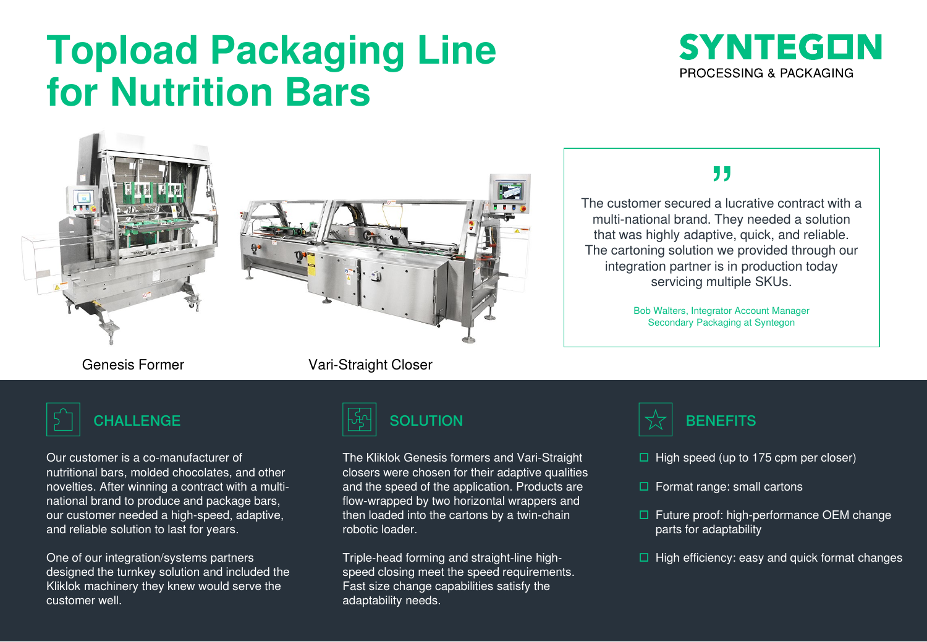# **Topload Packaging Line for Nutrition Bars**









Our customer is a co-manufacturer of nutritional bars, molded chocolates, and other novelties. After winning a contract with a multinational brand to produce and package bars, our customer needed a high-speed, adaptive, and reliable solution to last for years.

One of our integration/systems partners designed the turnkey solution and included the Kliklok machinery they knew would serve the customer well.

#### Genesis Former Vari-Straight Closer



The Kliklok Genesis formers and Vari-Straight closers were chosen for their adaptive qualities and the speed of the application. Products are flow-wrapped by two horizontal wrappers and then loaded into the cartons by a twin-chain robotic loader.

Triple-head forming and straight-line highspeed closing meet the speed requirements. Fast size change capabilities satisfy the adaptability needs.

### ,,

The customer secured a lucrative contract with a multi-national brand. They needed a solution that was highly adaptive, quick, and reliable. The cartoning solution we provided through our integration partner is in production today servicing multiple SKUs.

> Bob Walters, Integrator Account Manager Secondary Packaging at Syntegon



- $\Box$  High speed (up to 175 cpm per closer)
- $\Box$  Format range: small cartons
- $\Box$  Future proof: high-performance OEM change parts for adaptability
- $\Box$  High efficiency: easy and quick format changes